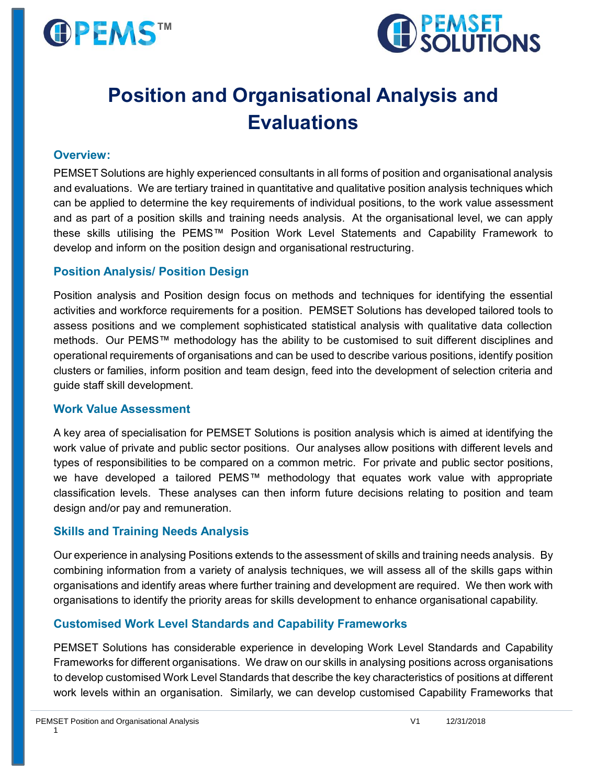



# **Position and Organisational Analysis and Evaluations**

#### **Overview:**

PEMSET Solutions are highly experienced consultants in all forms of position and organisational analysis and evaluations. We are tertiary trained in quantitative and qualitative position analysis techniques which can be applied to determine the key requirements of individual positions, to the work value assessment and as part of a position skills and training needs analysis. At the organisational level, we can apply these skills utilising the PEMS™ Position Work Level Statements and Capability Framework to develop and inform on the position design and organisational restructuring.

#### **Position Analysis/ Position Design**

Position analysis and Position design focus on methods and techniques for identifying the essential activities and workforce requirements for a position. PEMSET Solutions has developed tailored tools to assess positions and we complement sophisticated statistical analysis with qualitative data collection methods. Our PEMS™ methodology has the ability to be customised to suit different disciplines and operational requirements of organisations and can be used to describe various positions, identify position clusters or families, inform position and team design, feed into the development of selection criteria and guide staff skill development.

#### **Work Value Assessment**

A key area of specialisation for PEMSET Solutions is position analysis which is aimed at identifying the work value of private and public sector positions. Our analyses allow positions with different levels and types of responsibilities to be compared on a common metric. For private and public sector positions, we have developed a tailored PEMS™ methodology that equates work value with appropriate classification levels. These analyses can then inform future decisions relating to position and team design and/or pay and remuneration.

#### **Skills and Training Needs Analysis**

Our experience in analysing Positions extends to the assessment of skills and training needs analysis. By combining information from a variety of analysis techniques, we will assess all of the skills gaps within organisations and identify areas where further training and development are required. We then work with organisations to identify the priority areas for skills development to enhance organisational capability.

#### **Customised Work Level Standards and Capability Frameworks**

PEMSET Solutions has considerable experience in developing Work Level Standards and Capability Frameworks for different organisations. We draw on our skills in analysing positions across organisations to develop customised Work Level Standards that describe the key characteristics of positions at different work levels within an organisation. Similarly, we can develop customised Capability Frameworks that